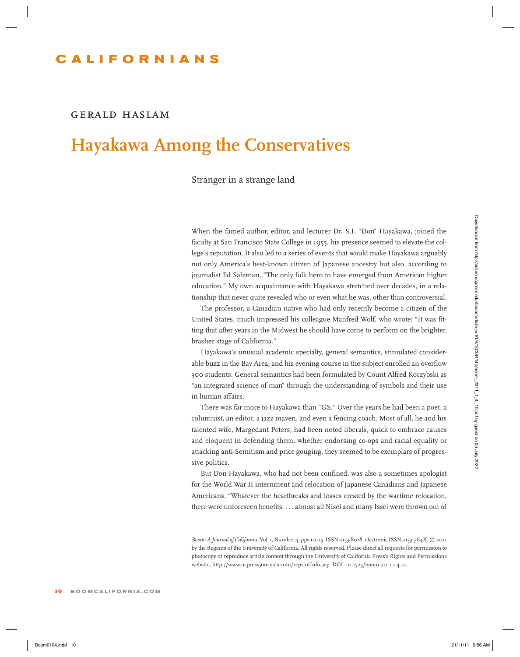### **CALIFORNIAN S**

#### *gerald haslam*

# **Hayakawa Among the Conservatives**

Stranger in a strange land

When the famed author, editor, and lecturer Dr. S.I. "Don" Hayakawa, joined the faculty at San Francisco State College in 1955, his presence seemed to elevate the college's reputation. It also led to a series of events that would make Hayakawa arguably not only America's best-known citizen of Japanese ancestry but also, according to journalist Ed Salzman, "The only folk hero to have emerged from American higher education." My own acquaintance with Hayakawa stretched over decades, in a relationship that never quite revealed who or even what he was, other than controversial. When the farred author, editor, and between Urc SL1. "Dow" Hapskuwa, joi reed the firsting 15.50 Am Downloaded Sole College in 1955, this presence served from clusters. for each presence the positive properties about the

The professor, a Canadian native who had only recently become a citizen of the United States, much impressed his colleague Manfred Wolf, who wrote: "It was fitting that after years in the Midwest he should have come to perform on the brighter, brasher stage of California."

Hayakawa's unusual academic specialty, general semantics, stimulated considerable buzz in the Bay Area, and his evening course in the subject enrolled an overflow 300 students. General semantics had been formulated by Count Alfred Korzybski as "an integrated science of man" through the understanding of symbols and their use in human affairs.

There was far more to Hayakawa than "GS." Over the years he had been a poet, a columnist, an editor, a jazz maven, and even a fencing coach. Most of all, he and his talented wife, Margedant Peters, had been noted liberals, quick to embrace causes and eloquent in defending them, whether endorsing co-ops and racial equality or attacking anti-Semitism and price gouging, they seemed to be exemplars of progressive politics.

But Don Hayakawa, who had not been confined, was also a sometimes apologist for the World War II internment and relocation of Japanese Canadians and Japanese Americans. "Whatever the heartbreaks and losses created by the wartime relocation, there were unforeseen benefits. . . . almost all Nisei and many Issei were thrown out of

*Boom: A Journal of California,* Vol. 1, Number 4, pps 10–15. ISSN 2153-8018, electronic ISSN 2153-764X. © 2011 by the Regents of the University of California. All rights reserved. Please direct all requests for permission to photocopy or reproduce article content through the University of California Press's Rights and Permissions website, http://www.ucpressjournals.com/reprintInfo.asp. DOI: 10.1525/boom.2011.1.4.10.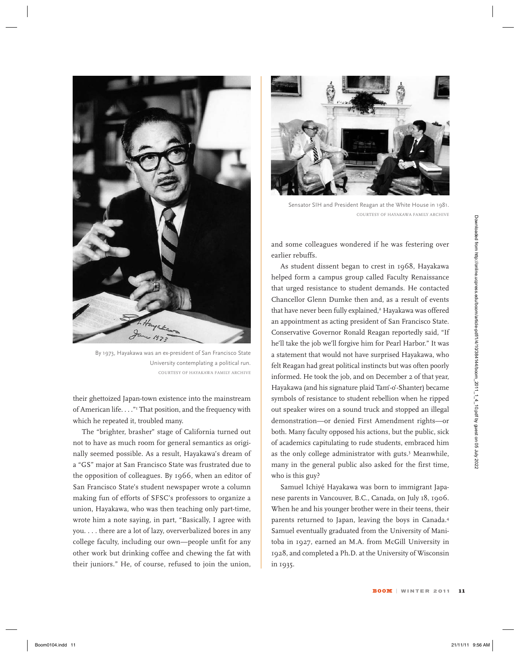

By 1973, Hayakawa was an ex-president of San Francisco State University contemplating a political run. COURTESY OF HAYAKAWA FAMILY ARCHIVE

their ghettoized Japan-town existence into the mainstream of American life. . . ."<sup>1</sup> That position, and the frequency with which he repeated it, troubled many.

The "brighter, brasher" stage of California turned out not to have as much room for general semantics as originally seemed possible. As a result, Hayakawa's dream of a "GS" major at San Francisco State was frustrated due to the opposition of colleagues. By 1966, when an editor of San Francisco State's student newspaper wrote a column making fun of efforts of SFSC's professors to organize a union, Hayakawa, who was then teaching only part-time, wrote him a note saying, in part, "Basically, I agree with you. . . . there are a lot of lazy, oververbalized bores in any college faculty, including our own—people unfit for any other work but drinking coffee and chewing the fat with their juniors." He, of course, refused to join the union,



Sensator SIH and President Reagan at the White House in 1981. COURTESY OF HAYAKAWA FAMILY ARCHIVE

and some colleagues wondered if he was festering over earlier rebuffs.

As student dissent began to crest in 1968, Hayakawa helped form a campus group called Faculty Renaissance that urged resistance to student demands. He contacted Chancellor Glenn Dumke then and, as a result of events that have never been fully explained,<sup>2</sup> Hayakawa was offered an appointment as acting president of San Francisco State. Conservative Governor Ronald Reagan reportedly said, "If he'll take the job we'll forgive him for Pearl Harbor." It was a statement that would not have surprised Hayakawa, who felt Reagan had great political instincts but was often poorly informed. He took the job, and on December 2 of that year, Hayakawa (and his signature plaid Tam'-o'-Shanter) became symbols of resistance to student rebellion when he ripped out speaker wires on a sound truck and stopped an illegal demonstration—or denied First Amendment rights—or both. Many faculty opposed his actions, but the public, sick of academics capitulating to rude students, embraced him as the only college administrator with guts.<sup>3</sup> Meanwhile, many in the general public also asked for the first time, who is this guy? Book of studies and boom is guest of the studies of the studies of the studies of the studies of the studies of the studies of the studies of the studies of the studies of the studies of the studies of the studies of the

Samuel Ichiyé Hayakawa was born to immigrant Japanese parents in Vancouver, B.C., Canada, on July 18, 1906. When he and his younger brother were in their teens, their parents returned to Japan, leaving the boys in Canada.4 Samuel eventually graduated from the University of Manitoba in 1927, earned an M.A. from McGill University in 1928, and completed a Ph.D. at the University of Wisconsin in 1935.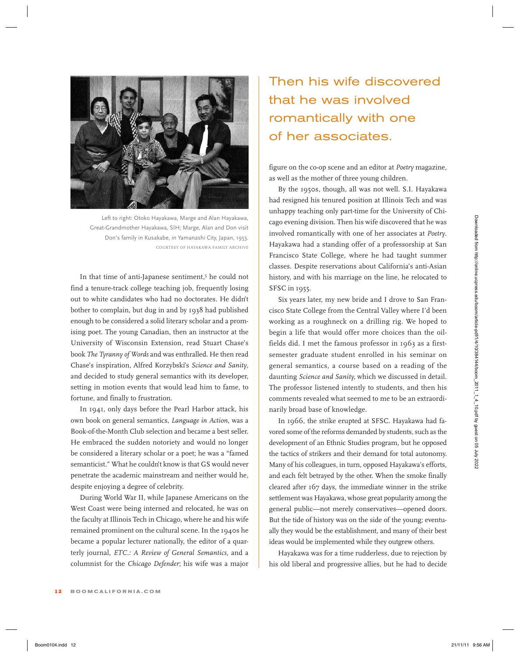

Left to right: Otoko Hayakawa, Marge and Alan Hayakawa, Great-Grandmother Hayakawa, SIH; Marge, Alan and Don visit Don's family in Kusakabe, in Yamanashi City, Japan, 1953. COURTESY OF HAYAKAWA FAMILY ARCHIVE

In that time of anti-Japanese sentiment,<sup>5</sup> he could not find a tenure-track college teaching job, frequently losing out to white candidates who had no doctorates. He didn't bother to complain, but dug in and by 1938 had published enough to be considered a solid literary scholar and a promising poet. The young Canadian, then an instructor at the University of Wisconsin Extension, read Stuart Chase's book *The Tyranny of Words* and was enthralled. He then read Chase's inspiration, Alfred Korzybski's *Science and Sanity*, and decided to study general semantics with its developer, setting in motion events that would lead him to fame, to fortune, and finally to frustration. For the content instead from the state is the state of the state of a content in the state of the state of the state of the state of the state of the state of the state of the state of the state of the state of the state

In 1941, only days before the Pearl Harbor attack, his own book on general semantics, *Language in Action*, was a Book-of-the-Month Club selection and became a best seller. He embraced the sudden notoriety and would no longer be considered a literary scholar or a poet; he was a "famed semanticist." What he couldn't know is that GS would never penetrate the academic mainstream and neither would he, despite enjoying a degree of celebrity.

During World War II, while Japanese Americans on the West Coast were being interned and relocated, he was on the faculty at Illinois Tech in Chicago, where he and his wife remained prominent on the cultural scene. In the 1940s he became a popular lecturer nationally, the editor of a quarterly journal, *ETC.: A Review of General Semantics*, and a columnist for the *Chicago Defender*; his wife was a major

## Then his wife discovered that he was involved romantically with one of her associates.

figure on the co-op scene and an editor at *Poetry* magazine, as well as the mother of three young children.

By the 1950s, though, all was not well. S.I. Hayakawa had resigned his tenured position at Illinois Tech and was unhappy teaching only part-time for the University of Chicago evening division. Then his wife discovered that he was involved romantically with one of her associates at *Poetry*. Hayakawa had a standing offer of a professorship at San Francisco State College, where he had taught summer classes. Despite reservations about California's anti-Asian history, and with his marriage on the line, he relocated to SFSC in 1955.

Six years later, my new bride and I drove to San Francisco State College from the Central Valley where I'd been working as a roughneck on a drilling rig. We hoped to begin a life that would offer more choices than the oilfields did. I met the famous professor in 1963 as a firstsemester graduate student enrolled in his seminar on general semantics, a course based on a reading of the daunting *Science and Sanity,* which we discussed in detail. The professor listened intently to students, and then his comments revealed what seemed to me to be an extraordinarily broad base of knowledge.

In 1966, the strike erupted at SFSC. Hayakawa had favored some of the reforms demanded by students, such as the development of an Ethnic Studies program, but he opposed the tactics of strikers and their demand for total autonomy. Many of his colleagues, in turn, opposed Hayakawa's efforts, and each felt betrayed by the other. When the smoke finally cleared after 167 days, the immediate winner in the strike settlement was Hayakawa, whose great popularity among the general public—not merely conservatives—opened doors. But the tide of history was on the side of the young; eventually they would be the establishment, and many of their best ideas would be implemented while they outgrew others.

Hayakawa was for a time rudderless, due to rejection by his old liberal and progressive allies, but he had to decide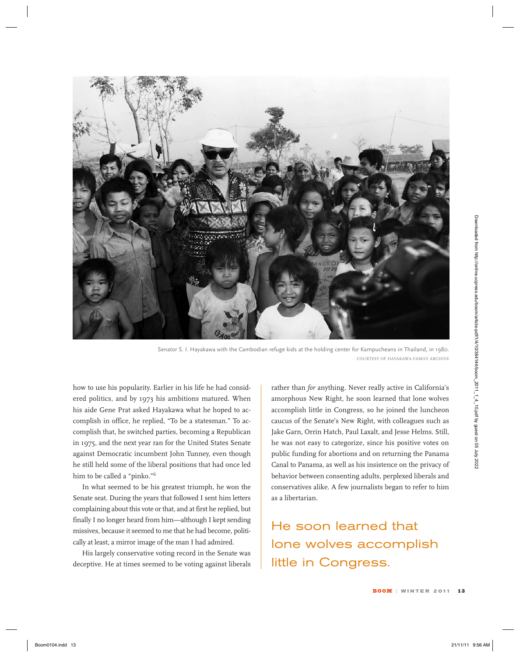

Senator S. I. Hayakawa with the Cambodian refuge kids at the holding center for Kampucheans in Thailand, in 1980. COURTESY OF HAYAKAWA FAMILY ARCHIVE

how to use his popularity. Earlier in his life he had considered politics, and by 1973 his ambitions matured. When his aide Gene Prat asked Hayakawa what he hoped to accomplish in office, he replied, "To be a statesman." To accomplish that, he switched parties, becoming a Republican in 1975, and the next year ran for the United States Senate against Democratic incumbent John Tunney, even though he still held some of the liberal positions that had once led him to be called a "pinko."6

In what seemed to be his greatest triumph, he won the Senate seat. During the years that followed I sent him letters complaining about this vote or that, and at first he replied, but finally I no longer heard from him—although I kept sending missives, because it seemed to me that he had become, politically at least, a mirror image of the man I had admired.

His largely conservative voting record in the Senate was deceptive. He at times seemed to be voting against liberals rather than *for* anything. Never really active in California's amorphous New Right, he soon learned that lone wolves accomplish little in Congress, so he joined the luncheon caucus of the Senate's New Right, with colleagues such as Jake Garn, Orrin Hatch, Paul Laxalt, and Jesse Helms. Still, he was not easy to categorize, since his positive votes on public funding for abortions and on returning the Panama Canal to Panama, as well as his insistence on the privacy of behavior between consenting adults, perplexed liberals and conservatives alike. A few journalists began to refer to him as a libertarian.

He soon learned that lone wolves accomplish little in Congress.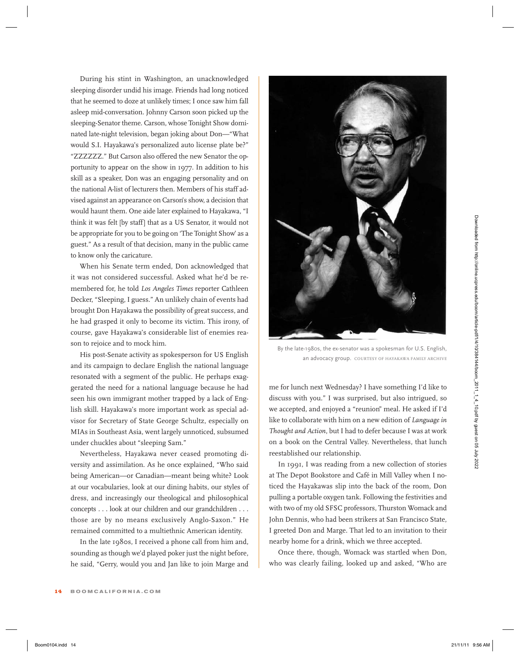During his stint in Washington, an unacknowledged sleeping disorder undid his image. Friends had long noticed that he seemed to doze at unlikely times; I once saw him fall asleep mid-conversation. Johnny Carson soon picked up the sleeping-Senator theme. Carson, whose Tonight Show dominated late-night television, began joking about Don—"What would S.I. Hayakawa's personalized auto license plate be?" "ZZZZZZ." But Carson also offered the new Senator the opportunity to appear on the show in 1977. In addition to his skill as a speaker, Don was an engaging personality and on the national A-list of lecturers then. Members of his staff advised against an appearance on Carson's show, a decision that would haunt them. One aide later explained to Hayakawa, "I think it was felt [by staff] that as a US Senator, it would not be appropriate for you to be going on 'The Tonight Show' as a guest." As a result of that decision, many in the public came to know only the caricature.

When his Senate term ended, Don acknowledged that it was not considered successful. Asked what he'd be remembered for, he told *Los Angeles Times* reporter Cathleen Decker, "Sleeping, I guess." An unlikely chain of events had brought Don Hayakawa the possibility of great success, and he had grasped it only to become its victim. This irony, of course, gave Hayakawa's considerable list of enemies reason to rejoice and to mock him.

His post-Senate activity as spokesperson for US English and its campaign to declare English the national language resonated with a segment of the public. He perhaps exaggerated the need for a national language because he had seen his own immigrant mother trapped by a lack of English skill. Hayakawa's more important work as special advisor for Secretary of State George Schultz, especially on MIAs in Southeast Asia, went largely unnoticed, subsumed under chuckles about "sleeping Sam."

Nevertheless, Hayakawa never ceased promoting diversity and assimilation. As he once explained, "Who said being American—or Canadian—meant being white? Look at our vocabularies, look at our dining habits, our styles of dress, and increasingly our theological and philosophical concepts . . . look at our children and our grandchildren . . . those are by no means exclusively Anglo-Saxon." He remained committed to a multiethnic American identity.

In the late 1980s, I received a phone call from him and, sounding as though we'd played poker just the night before, he said, "Gerry, would you and Jan like to join Marge and



By the late-1980s, the ex-senator was a spokesman for U.S. English, an advocacy group. COURTESY OF HAYAKAWA FAMILY ARCHIVE

me for lunch next Wednesday? I have something I'd like to discuss with you." I was surprised, but also intrigued, so we accepted, and enjoyed a "reunion" meal. He asked if I'd like to collaborate with him on a new edition of *Language in Thought and Action*, but I had to defer because I was at work on a book on the Central Valley. Nevertheless, that lunch reestablished our relationship.

In 1991, I was reading from a new collection of stories at The Depot Bookstore and Café in Mill Valley when I noticed the Hayakawas slip into the back of the room, Don pulling a portable oxygen tank. Following the festivities and with two of my old SFSC professors, Thurston Womack and John Dennis, who had been strikers at San Francisco State, I greeted Don and Marge. That led to an invitation to their nearby home for a drink, which we three accepted.

Once there, though, Womack was startled when Don, who was clearly failing, looked up and asked, "Who are